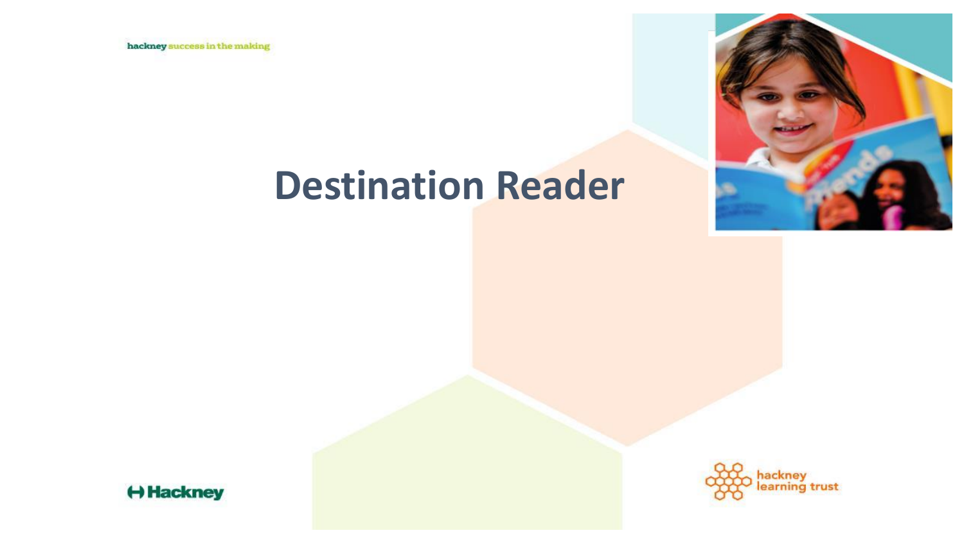hackney success in the making



## **Destination Reader**



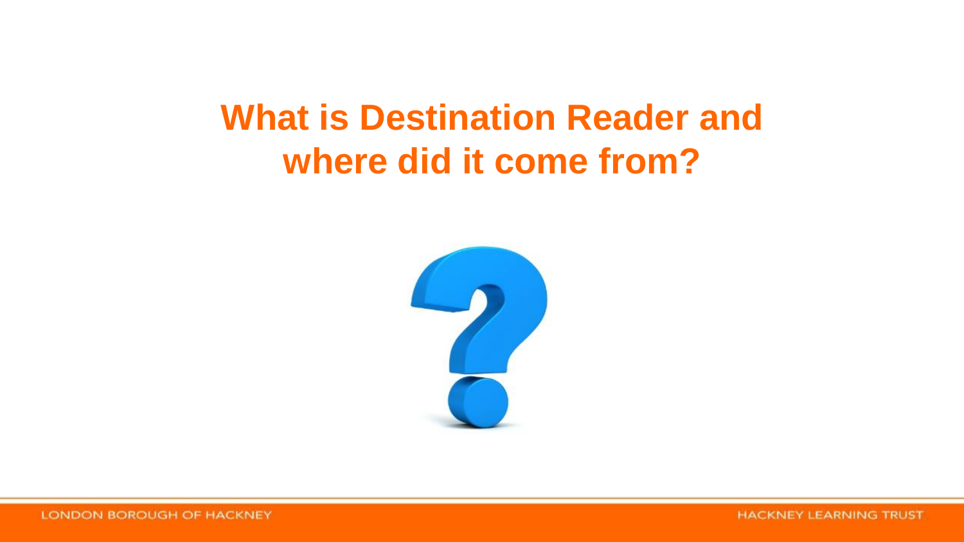## **What is Destination Reader and where did it come from?**

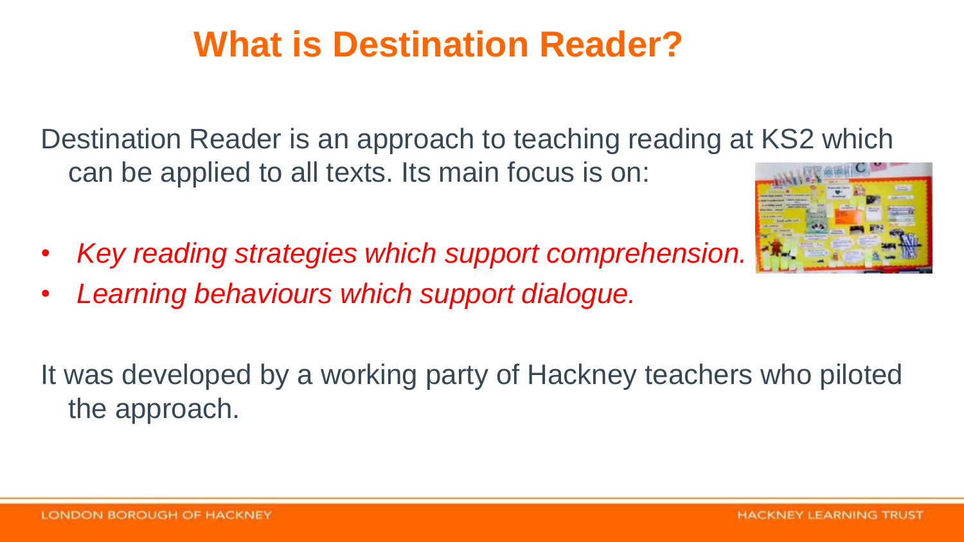## **What is Destination Reader?**

Destination Reader is an approach to teaching reading at KS2 which can be applied to all texts. Its main focus is on:

- *Key reading strategies which support comprehension.*
- *Learning behaviours which support dialogue.*

It was developed by a working party of Hackney teachers who piloted the approach.

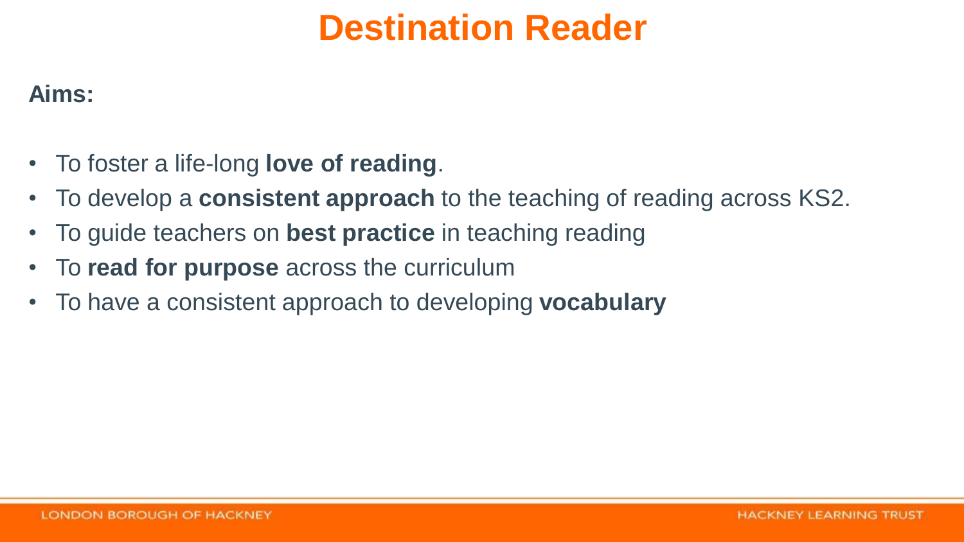## **Destination Reader**

#### **Aims:**

- To foster a life-long **love of reading**.
- To develop a **consistent approach** to the teaching of reading across KS2.
- To guide teachers on **best practice** in teaching reading
- To **read for purpose** across the curriculum
- To have a consistent approach to developing **vocabulary**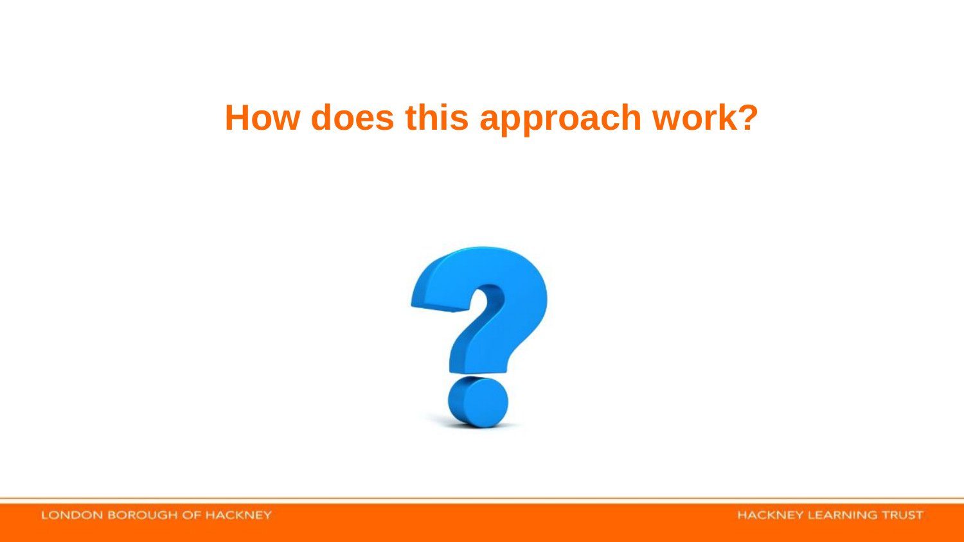### **How does this approach work?**



**HACKNEY LEARNING TRUST**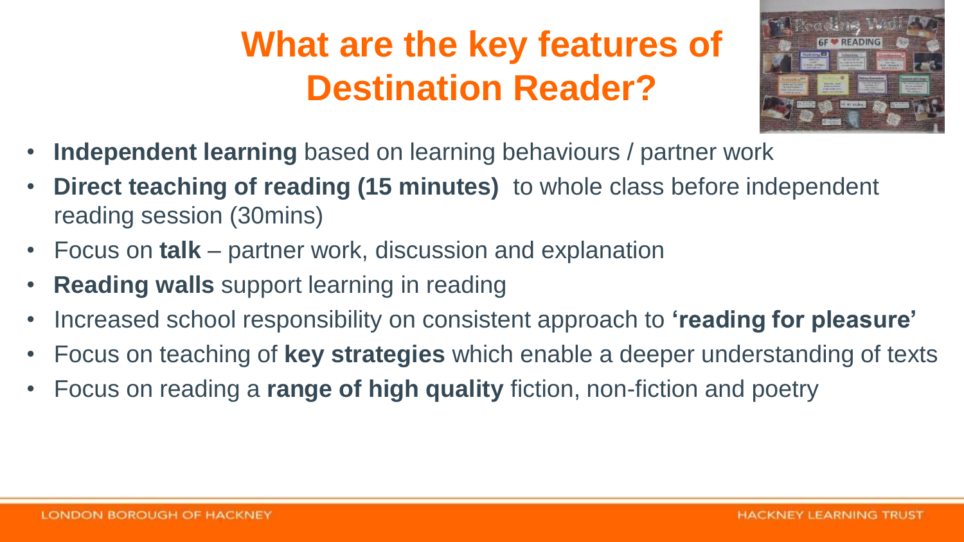## **What are the key features of Destination Reader?**



- **Independent learning** based on learning behaviours / partner work
- **Direct teaching of reading (15 minutes)** to whole class before independent reading session (30mins)
- Focus on **talk** partner work, discussion and explanation
- **Reading walls** support learning in reading
- Increased school responsibility on consistent approach to **'reading for pleasure'**
- Focus on teaching of **key strategies** which enable a deeper understanding of texts
- Focus on reading a **range of high quality** fiction, non-fiction and poetry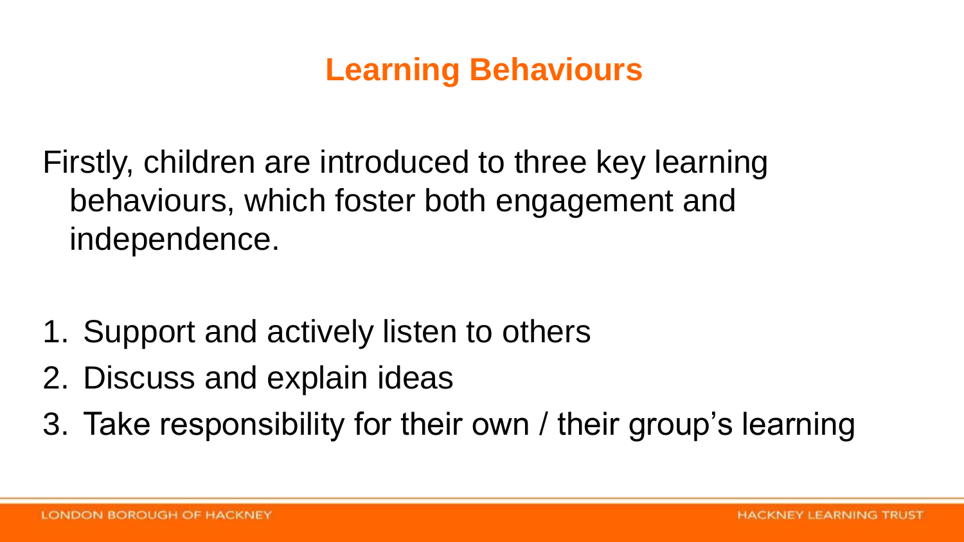#### **Learning Behaviours**

Firstly, children are introduced to three key learning behaviours, which foster both engagement and independence.

- 1. Support and actively listen to others
- 2. Discuss and explain ideas
- 3. Take responsibility for their own / their group's learning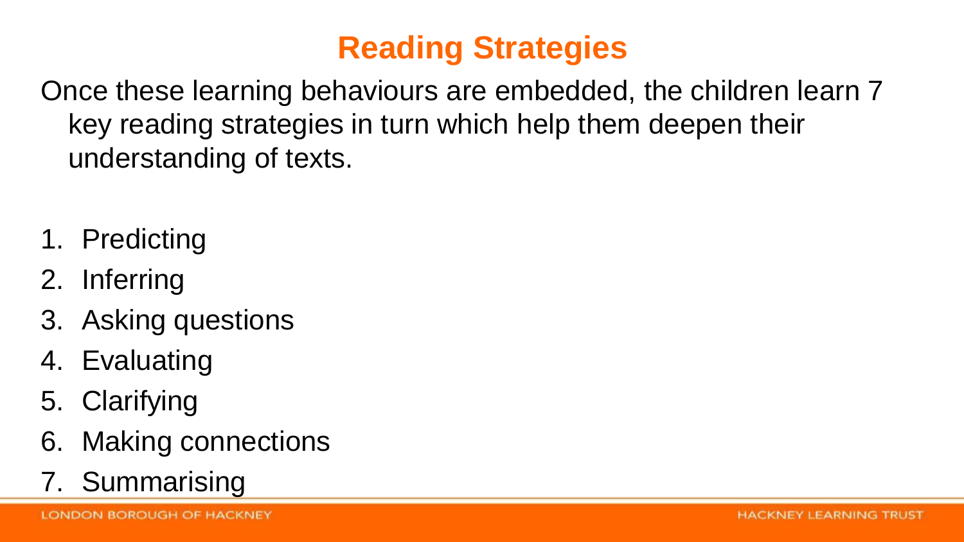### **Reading Strategies**

Once these learning behaviours are embedded, the children learn 7 key reading strategies in turn which help them deepen their understanding of texts.

- 1. Predicting
- 2. Inferring
- 3. Asking questions
- 4. Evaluating
- 5. Clarifying
- 6. Making connections
- 7. Summarising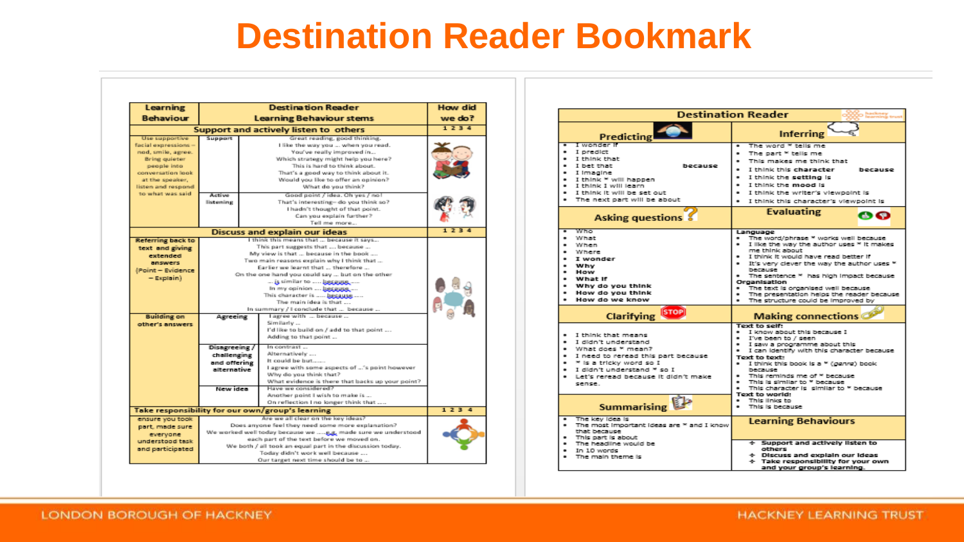#### **Destination Reader Bookmark**

| Learning                                                                                                                                                   | <b>Destination Reader</b>                                                                                                                                                                                                                                                                                                                                                                                                              |                                                                                                                                                                                                                                                                                                                                            | <b>How did</b> |  |
|------------------------------------------------------------------------------------------------------------------------------------------------------------|----------------------------------------------------------------------------------------------------------------------------------------------------------------------------------------------------------------------------------------------------------------------------------------------------------------------------------------------------------------------------------------------------------------------------------------|--------------------------------------------------------------------------------------------------------------------------------------------------------------------------------------------------------------------------------------------------------------------------------------------------------------------------------------------|----------------|--|
| <b>Behaviour</b>                                                                                                                                           | <b>Learning Behaviour stems</b>                                                                                                                                                                                                                                                                                                                                                                                                        |                                                                                                                                                                                                                                                                                                                                            | we do?         |  |
| 1234<br>Support and actively listen to others                                                                                                              |                                                                                                                                                                                                                                                                                                                                                                                                                                        |                                                                                                                                                                                                                                                                                                                                            |                |  |
| Use supportive<br>facial expressions -<br>nod, smile, agree.<br>Bring quieter<br>people into<br>conversation look<br>at the speaker.<br>listen and respond | Support                                                                                                                                                                                                                                                                                                                                                                                                                                | Great reading, good thinking.<br>I like the way you  when you read.<br>You've really improved in<br>Which strategy might help you here?<br>This is hard to think about.<br>That's a good way to think about it.<br>Would you like to offer an opinion?<br>What do you think?                                                               |                |  |
| to what was said.                                                                                                                                          | Active<br>listening                                                                                                                                                                                                                                                                                                                                                                                                                    | Good point / idea. Oh yes / no!<br>That's interesting-do you think so?<br>I hadn't thought of that point.<br>Can you explain further?<br>Tell me more                                                                                                                                                                                      |                |  |
| <b>Discuss and explain our ideas</b>                                                                                                                       |                                                                                                                                                                                                                                                                                                                                                                                                                                        | 1234                                                                                                                                                                                                                                                                                                                                       |                |  |
| Referring back to<br>text and giving<br>extended<br>answers.<br>(Point - Evidence)<br>$-$ Explain)                                                         | I think this means that  because it says<br>This part suggests that  because<br>My view is that  because in the book<br>Two main reasons explain why I think that<br>Earlier we learnt that  therefore<br>On the one hand you could say  but on the other<br>is similar to  because<br>In my opinion  because<br>This character is  because<br>The main idea is that<br>In summary / I conclude that  because<br>l agree with  because |                                                                                                                                                                                                                                                                                                                                            |                |  |
| <b>Building on</b><br>other's answers                                                                                                                      | Agreeing<br>Disagreeing /<br>challenging<br>and offering<br>alternative<br>New idea                                                                                                                                                                                                                                                                                                                                                    | Similarly<br>I'd like to build on / add to that point<br>Adding to that point<br>In contrast<br>Alternatively<br>It could be but<br>I agree with some aspects of 's point however<br>Why do you think that?<br>What evidence is there that backs up your point?<br>Have we considered?<br>Another point I wish to make is                  |                |  |
| On reflection I no longer think that<br>Take responsibility for our own/group's learning                                                                   |                                                                                                                                                                                                                                                                                                                                                                                                                                        |                                                                                                                                                                                                                                                                                                                                            | 1234           |  |
| ensure you took.<br>part, made sure<br>everyone<br>understood task<br>and participated                                                                     |                                                                                                                                                                                                                                                                                                                                                                                                                                        | Are we all clear on the lory ideas?<br>Does anyone feel they need some more explanation?<br>We worked well today because we  E.g. made sure we understood<br>each part of the text before we moved on.<br>We both / all took an equal part in the discussion today.<br>Today didn't work well because<br>Our target next time should be to |                |  |

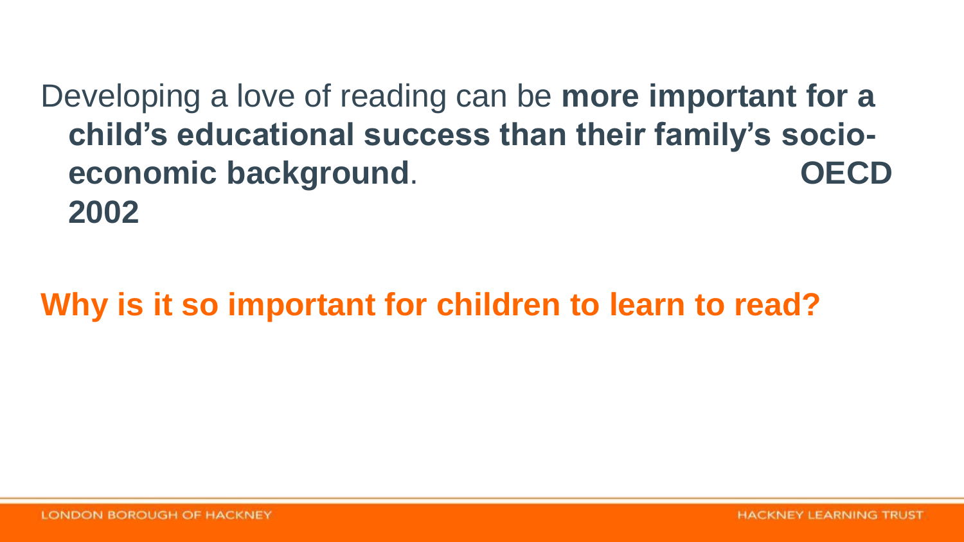Developing a love of reading can be **more important for a child's educational success than their family's socioeconomic background**. **OECD 2002**

**Why is it so important for children to learn to read?**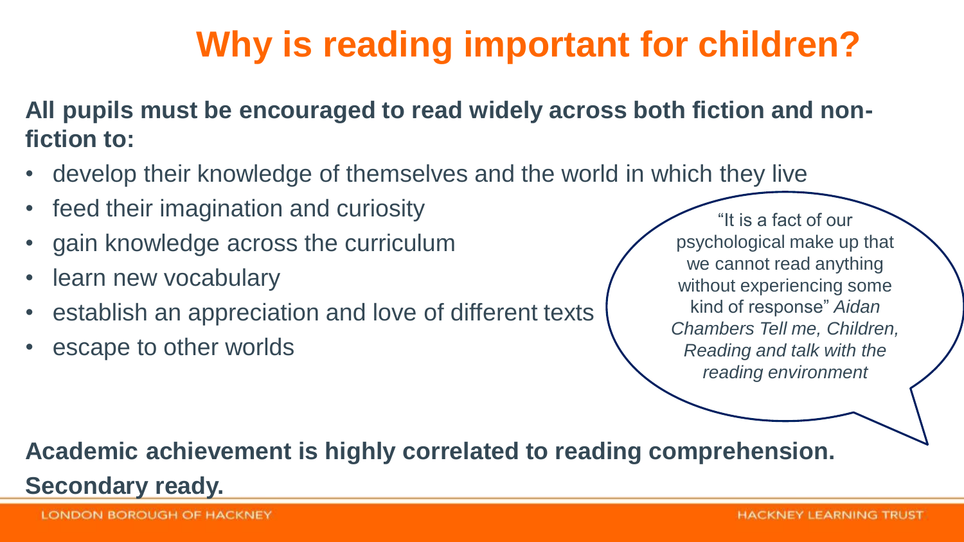# **Why is reading important for children?**

**All pupils must be encouraged to read widely across both fiction and nonfiction to:**

- develop their knowledge of themselves and the world in which they live
- feed their imagination and curiosity
- gain knowledge across the curriculum
- learn new vocabulary
- establish an appreciation and love of different texts
- escape to other worlds

"It is a fact of our psychological make up that we cannot read anything without experiencing some kind of response" *Aidan Chambers Tell me, Children, Reading and talk with the reading environment*

#### **Academic achievement is highly correlated to reading comprehension. Secondary ready.**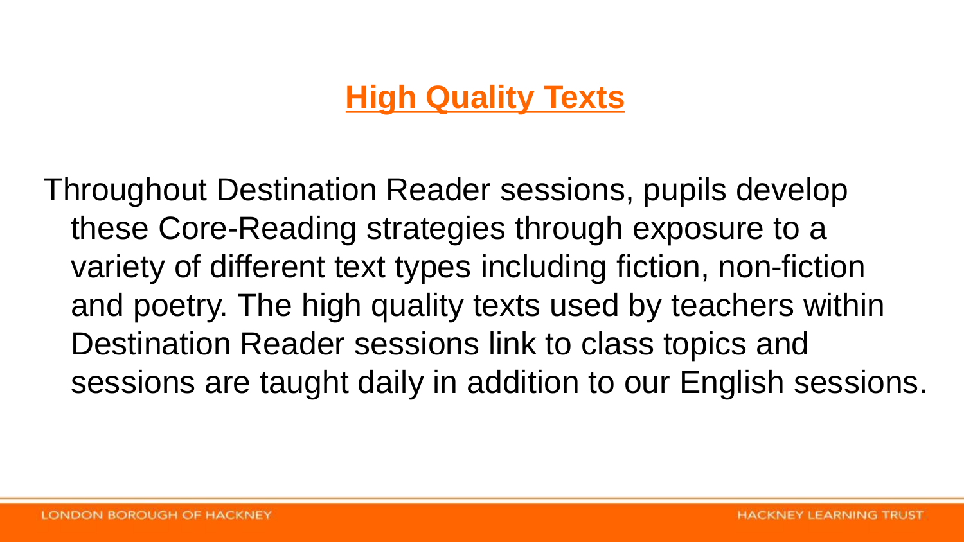#### **High Quality Texts**

Throughout Destination Reader sessions, pupils develop these Core-Reading strategies through exposure to a variety of different text types including fiction, non-fiction and poetry. The high quality texts used by teachers within Destination Reader sessions link to class topics and sessions are taught daily in addition to our English sessions.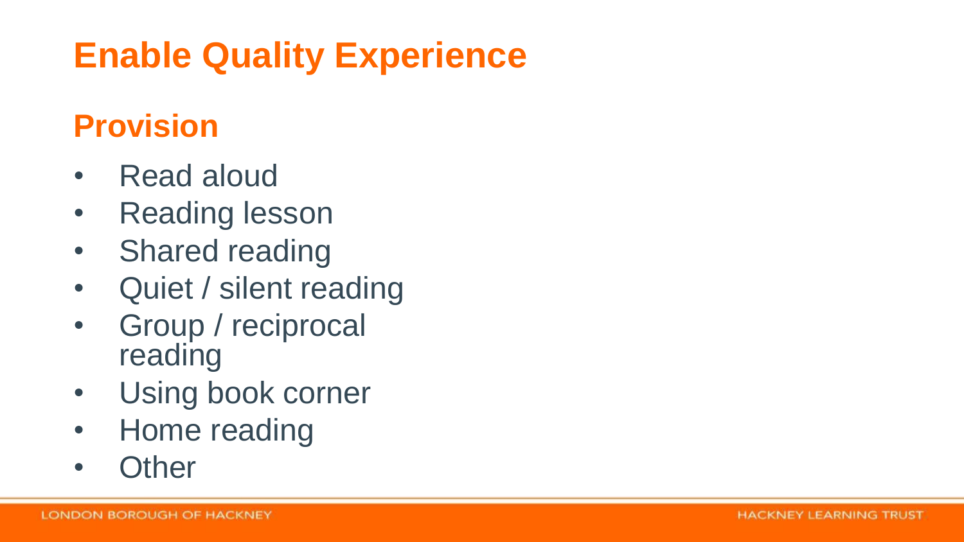# **Enable Quality Experience**

#### **Provision**

- Read aloud
- Reading lesson
- Shared reading
- Quiet / silent reading
- Group / reciprocal reading
- Using book corner
- Home reading
- Other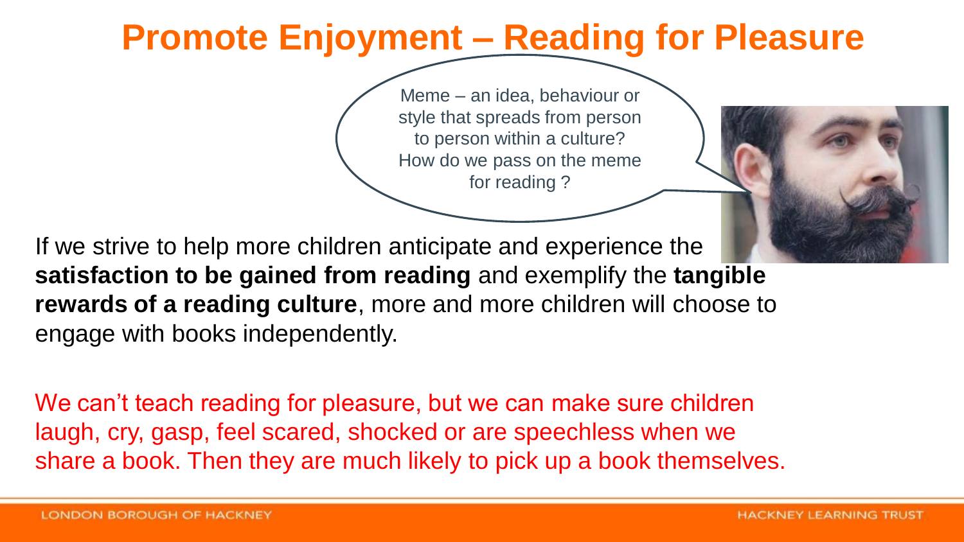## **Promote Enjoyment – Reading for Pleasure**

Meme – an idea, behaviour or style that spreads from person to person within a culture? How do we pass on the meme for reading ?

If we strive to help more children anticipate and experience the **satisfaction to be gained from reading** and exemplify the **tangible rewards of a reading culture**, more and more children will choose to engage with books independently.

We can't teach reading for pleasure, but we can make sure children laugh, cry, gasp, feel scared, shocked or are speechless when we share a book. Then they are much likely to pick up a book themselves.